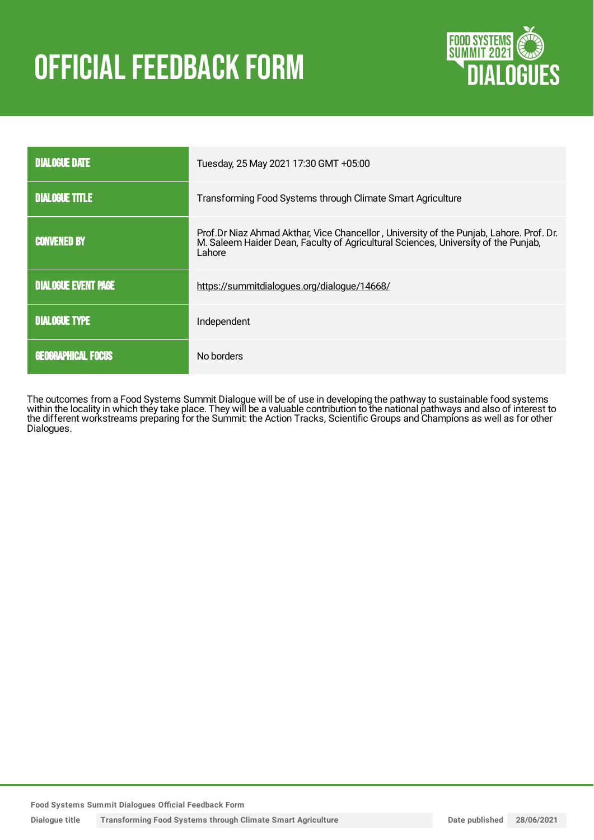# **OFFICIAL FEEDBACK FORM**



| <b>DIALOGUE DATE</b>       | Tuesday, 25 May 2021 17:30 GMT +05:00                                                                                                                                                   |
|----------------------------|-----------------------------------------------------------------------------------------------------------------------------------------------------------------------------------------|
| <b>DIALOGUE TITLE</b>      | Transforming Food Systems through Climate Smart Agriculture                                                                                                                             |
| <b>CONVENED BY</b>         | Prof.Dr Niaz Ahmad Akthar, Vice Chancellor, University of the Punjab, Lahore. Prof. Dr.<br>M. Saleem Haider Dean, Faculty of Agricultural Sciences, University of the Punjab,<br>Lahore |
| <b>DIALOGUE EVENT PAGE</b> | https://summitdialogues.org/dialogue/14668/                                                                                                                                             |
| <b>DIALOGUE TYPE</b>       | Independent                                                                                                                                                                             |
| <b>GEOGRAPHICAL FOCUS</b>  | No borders                                                                                                                                                                              |

The outcomes from a Food Systems Summit Dialogue will be of use in developing the pathway to sustainable food systems within the locality in which they take place. They will be a valuable contribution to the national pathways and also of interest to the different workstreams preparing for the Summit: the Action Tracks, Scientific Groups and Champions as well as for other Dialogues.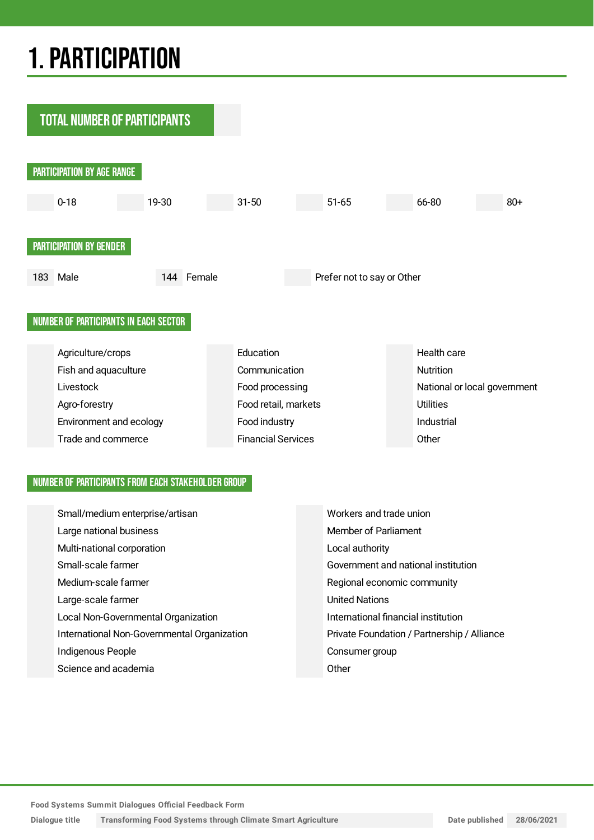## 1.PARTICIPATION



#### NUMBER OF PARTICIPANTS FROM EACH STAKEHOLDER GROUP

| Small/medium enterprise/artisan             | Workers and trade union                     |
|---------------------------------------------|---------------------------------------------|
| Large national business                     | Member of Parliament                        |
| Multi-national corporation                  | Local authority                             |
| Small-scale farmer                          | Government and national institution         |
| Medium-scale farmer                         | Regional economic community                 |
| Large-scale farmer                          | <b>United Nations</b>                       |
| Local Non-Governmental Organization         | International financial institution         |
| International Non-Governmental Organization | Private Foundation / Partnership / Alliance |
| Indigenous People                           | Consumer group                              |
| Science and academia                        | Other                                       |

**Dialogue title Transforming Food Systems through Climate Smart Agriculture Date published 28/06/2021**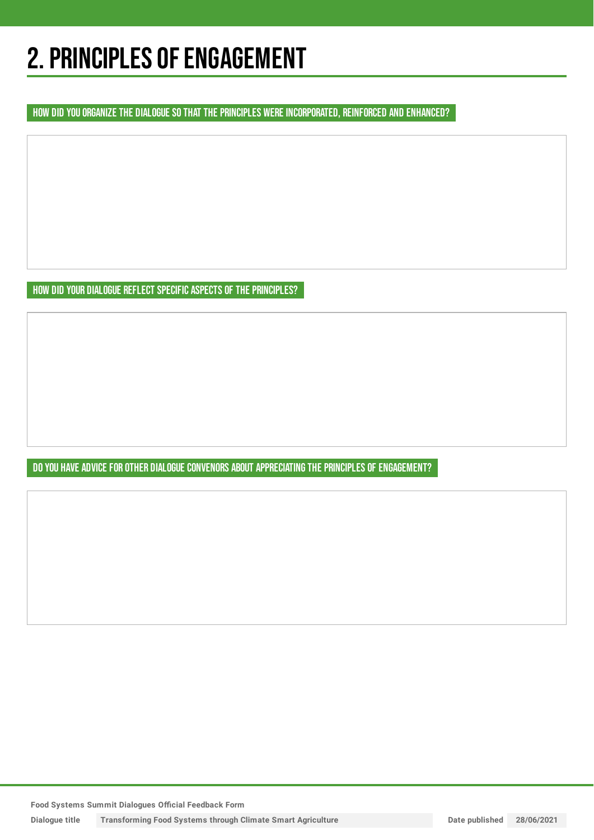## 2. PRINCIPLES OF ENGAGEMENT

HOW DID YOU ORGANIZE THE DIALOGUE SO THAT THE PRINCIPLES WERE INCORPORATED, REINFORCED AND ENHANCED?

HOW DID YOUR DIALOGUE REFLECT SPECIFIC ASPECTS OF THE PRINCIPLES?

DO YOU HAVE ADVICE FOR OTHER DIALOGUE CONVENORS ABOUT APPRECIATING THE PRINCIPLES OF ENGAGEMENT?

**Food Systems Summit Dialogues Official Feedback Form**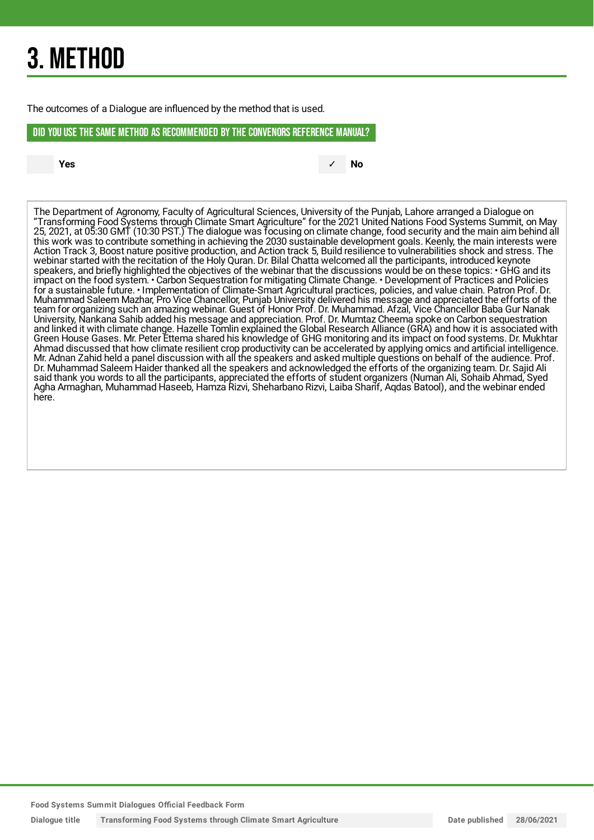## 3. METHOD

The outcomes of a Dialogue are influenced by the method that is used.

#### DID YOU USE THE SAME METHOD AS RECOMMENDED BYTHE CONVENORS REFERENCE MANUAL?

**Yes** ✓ **No**

The Department of Agronomy, Faculty of Agricultural Sciences, University of the Punjab, Lahore arranged a Dialogue on "Transforming Food Systems through Climate Smart Agriculture" for the 2021 United Nations Food Systems Summit, on May 25, 2021, at 05:30 GMT (10:30 PST.) The dialogue was focusing on climate change, food security and the main aim behind all this work was to contribute something in achieving the 2030 sustainable development goals. Keenly, the main interests were Action Track 3, Boost nature positive production, and Action track 5, Build resilience to vulnerabilities shock and stress. The webinar started with the recitation of the Holy Quran. Dr. Bilal Chatta welcomed all the participants, introduced keynote speakers, and briefly highlighted the objectives of the webinar that the discussions would be on these topics: • GHG and its impact on the food system. • Carbon Sequestration for mitigating Climate Change. • Development of Practices and Policies for a sustainable future. • Implementation of Climate-Smart Agricultural practices, policies, and value chain. Patron Prof. Dr. Muhammad Saleem Mazhar, Pro Vice Chancellor, Punjab University delivered his message and appreciated the efforts of the team for organizing such an amazing webinar. Guest of Honor Prof. Dr. Muhammad. Afzal, Vice Chancellor Baba Gur Nanak University, Nankana Sahib added his message and appreciation. Prof. Dr. Mumtaz Cheema spoke on Carbon sequestration and linked it with climate change. Hazelle Tomlin explained the Global Research Alliance (GRA) and how it is associated with Green House Gases. Mr. Peter Ettema shared his knowledge of GHG monitoring and its impact on food systems. Dr. Mukhtar Ahmad discussed that how climate resilient crop productivity can be accelerated by applying omics and artificial intelligence. Mr. Adnan Zahid held a panel discussion with all the speakers and asked multiple questions on behalf of the audience. Prof. Dr. Muhammad Saleem Haider thanked all the speakers and acknowledged the efforts of the organizing team. Dr. Sajid Ali said thank you words to all the participants, appreciated the efforts of student organizers (Numan Ali, Sohaib Ahmad, Syed Agha Armaghan, Muhammad Haseeb, Hamza Rizvi, Sheharbano Rizvi, Laiba Sharif, Aqdas Batool), and the webinar ended here.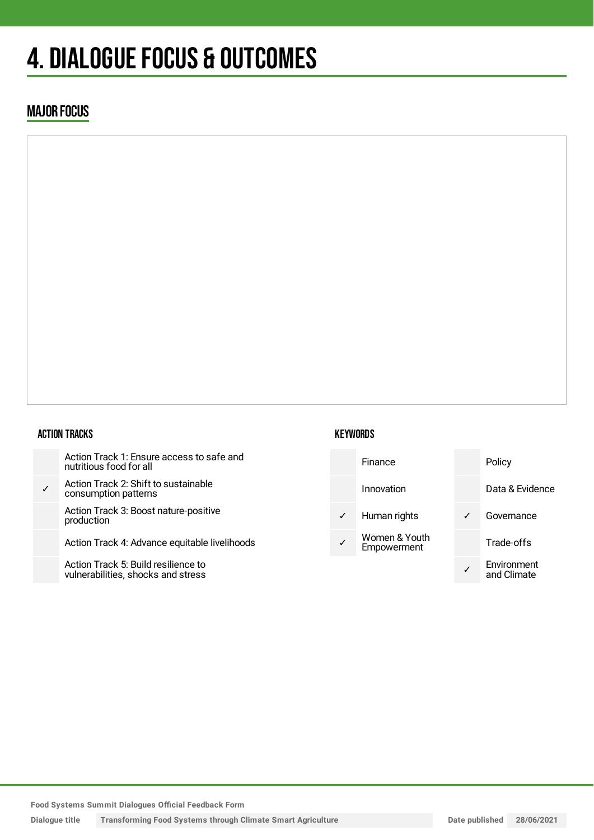## 4. DIALOGUE FOCUS & OUTCOMES

### MAJOR FOCUS

#### ACTION TRACKS

|   | Action Track 1: Ensure access to safe and<br>nutritious food for all      |
|---|---------------------------------------------------------------------------|
| ✓ | Action Track 2: Shift to sustainable<br>consumption patterns              |
|   | Action Track 3: Boost nature-positive<br>production                       |
|   | Action Track 4: Advance equitable livelihoods                             |
|   | Action Track 5: Build resilience to<br>vulnerabilities, shocks and stress |

#### **KEYWORDS**



**Food Systems Summit Dialogues Official Feedback Form**

**Dialogue title Transforming Food Systems through Climate Smart Agriculture Date published 28/06/2021**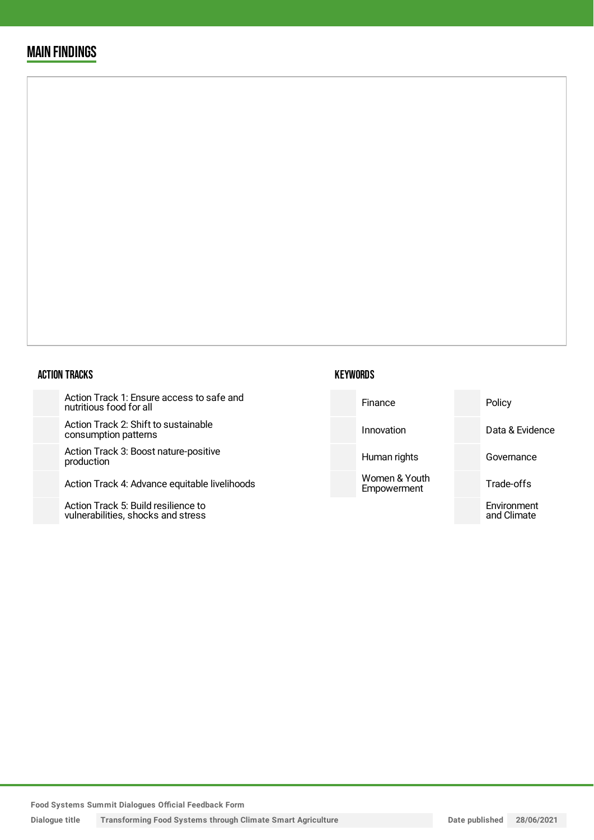### MAIN FINDINGS

#### ACTION TRACKS

Action Track 1: Ensure access to safe and nutritious food for all

Action Track 2: Shift to sustainabl consumption patterns

Action Track 3: Boost nature-posit production

Action Track 4: Advance equitable

Action Track 5: Build resilience to vulnerabilities, shocks and stress

| safe and      | Finance                      | Policy                     |
|---------------|------------------------------|----------------------------|
| le            | Innovation                   | Data & Evidence            |
| tive          | Human rights                 | Governance                 |
| e livelihoods | Women & Youth<br>Empowerment | Trade-offs                 |
|               |                              | Environment<br>and Climate |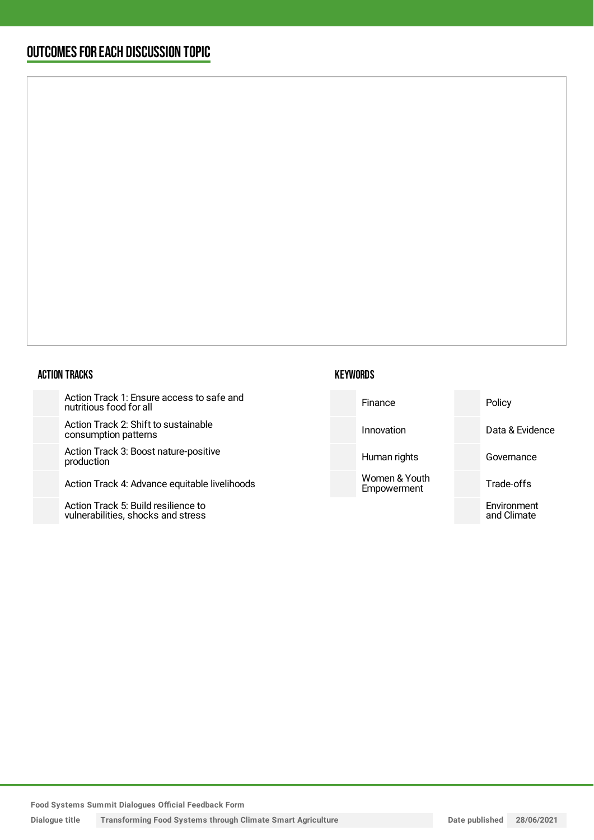### OUTCOMESFOR EACH DISCUSSION TOPIC

#### ACTION TRACKS

Action Track 1: Ensure access to safe and nutritious food for all

Action Track 2: Shift to sustainable consumption patterns

Action Track 3: Boost nature-positive production

Action Track 4: Advance equitable liv

Action Track 5: Build resilience to vulnerabilities, shocks and stress

| <b>KEYWORDS</b> |
|-----------------|
|-----------------|

| afe and    | Finance                      | Policy                     |
|------------|------------------------------|----------------------------|
|            | Innovation                   | Data & Evidence            |
| e          | Human rights                 | Governance                 |
| ivelihoods | Women & Youth<br>Empowerment | Trade-offs                 |
|            |                              | Environment<br>and Climate |
|            |                              |                            |